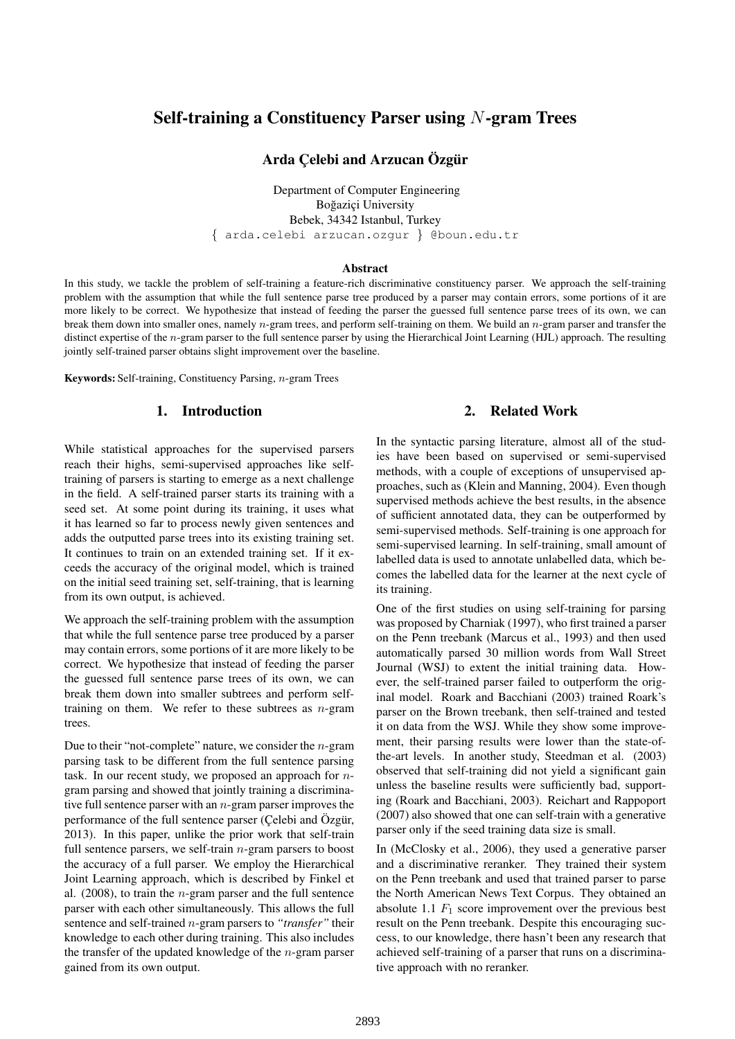# Self-training a Constituency Parser using N-gram Trees

### Arda Çelebi and Arzucan Özgür

Department of Computer Engineering Boğaziçi University Bebek, 34342 Istanbul, Turkey { arda.celebi arzucan.ozgur } @boun.edu.tr

#### Abstract

In this study, we tackle the problem of self-training a feature-rich discriminative constituency parser. We approach the self-training problem with the assumption that while the full sentence parse tree produced by a parser may contain errors, some portions of it are more likely to be correct. We hypothesize that instead of feeding the parser the guessed full sentence parse trees of its own, we can break them down into smaller ones, namely  $n$ -gram trees, and perform self-training on them. We build an  $n$ -gram parser and transfer the distinct expertise of the n-gram parser to the full sentence parser by using the Hierarchical Joint Learning (HJL) approach. The resulting jointly self-trained parser obtains slight improvement over the baseline.

Keywords: Self-training, Constituency Parsing, n-gram Trees

# 1. Introduction

### While statistical approaches for the supervised parsers reach their highs, semi-supervised approaches like selftraining of parsers is starting to emerge as a next challenge in the field. A self-trained parser starts its training with a seed set. At some point during its training, it uses what it has learned so far to process newly given sentences and adds the outputted parse trees into its existing training set. It continues to train on an extended training set. If it exceeds the accuracy of the original model, which is trained on the initial seed training set, self-training, that is learning from its own output, is achieved.

We approach the self-training problem with the assumption that while the full sentence parse tree produced by a parser may contain errors, some portions of it are more likely to be correct. We hypothesize that instead of feeding the parser the guessed full sentence parse trees of its own, we can break them down into smaller subtrees and perform selftraining on them. We refer to these subtrees as  $n$ -gram trees.

Due to their "not-complete" nature, we consider the  $n$ -gram parsing task to be different from the full sentence parsing task. In our recent study, we proposed an approach for ngram parsing and showed that jointly training a discriminative full sentence parser with an  $n$ -gram parser improves the performance of the full sentence parser (Celebi and Ozgür, 2013). In this paper, unlike the prior work that self-train full sentence parsers, we self-train  $n$ -gram parsers to boost the accuracy of a full parser. We employ the Hierarchical Joint Learning approach, which is described by Finkel et al.  $(2008)$ , to train the *n*-gram parser and the full sentence parser with each other simultaneously. This allows the full sentence and self-trained n-gram parsers to *"transfer"* their knowledge to each other during training. This also includes the transfer of the updated knowledge of the  $n$ -gram parser gained from its own output.

# 2. Related Work

In the syntactic parsing literature, almost all of the studies have been based on supervised or semi-supervised methods, with a couple of exceptions of unsupervised approaches, such as (Klein and Manning, 2004). Even though supervised methods achieve the best results, in the absence of sufficient annotated data, they can be outperformed by semi-supervised methods. Self-training is one approach for semi-supervised learning. In self-training, small amount of labelled data is used to annotate unlabelled data, which becomes the labelled data for the learner at the next cycle of its training.

One of the first studies on using self-training for parsing was proposed by Charniak (1997), who first trained a parser on the Penn treebank (Marcus et al., 1993) and then used automatically parsed 30 million words from Wall Street Journal (WSJ) to extent the initial training data. However, the self-trained parser failed to outperform the original model. Roark and Bacchiani (2003) trained Roark's parser on the Brown treebank, then self-trained and tested it on data from the WSJ. While they show some improvement, their parsing results were lower than the state-ofthe-art levels. In another study, Steedman et al. (2003) observed that self-training did not yield a significant gain unless the baseline results were sufficiently bad, supporting (Roark and Bacchiani, 2003). Reichart and Rappoport (2007) also showed that one can self-train with a generative parser only if the seed training data size is small.

In (McClosky et al., 2006), they used a generative parser and a discriminative reranker. They trained their system on the Penn treebank and used that trained parser to parse the North American News Text Corpus. They obtained an absolute 1.1  $F_1$  score improvement over the previous best result on the Penn treebank. Despite this encouraging success, to our knowledge, there hasn't been any research that achieved self-training of a parser that runs on a discriminative approach with no reranker.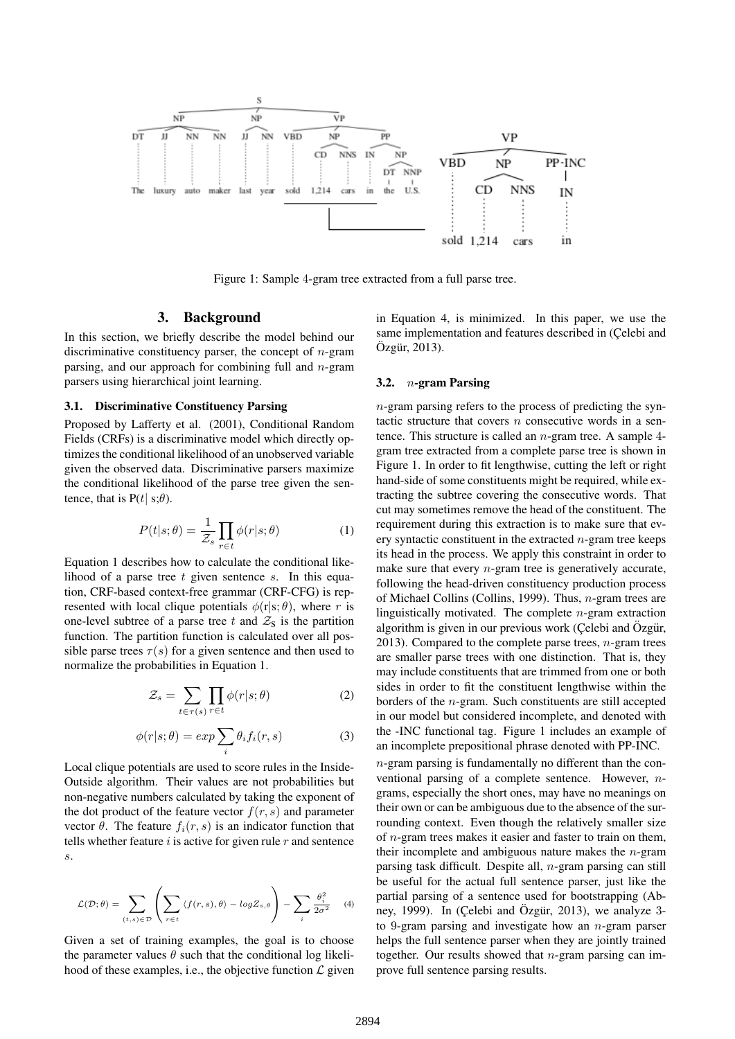

Figure 1: Sample 4-gram tree extracted from a full parse tree.

### 3. Background

In this section, we briefly describe the model behind our discriminative constituency parser, the concept of  $n$ -gram parsing, and our approach for combining full and  $n$ -gram parsers using hierarchical joint learning.

#### 3.1. Discriminative Constituency Parsing

Proposed by Lafferty et al. (2001), Conditional Random Fields (CRFs) is a discriminative model which directly optimizes the conditional likelihood of an unobserved variable given the observed data. Discriminative parsers maximize the conditional likelihood of the parse tree given the sentence, that is  $P(t | s; \theta)$ .

$$
P(t|s; \theta) = \frac{1}{\mathcal{Z}_s} \prod_{r \in t} \phi(r|s; \theta)
$$
 (1)

Equation 1 describes how to calculate the conditional likelihood of a parse tree  $t$  given sentence  $s$ . In this equation, CRF-based context-free grammar (CRF-CFG) is represented with local clique potentials  $\phi(r|s;\theta)$ , where r is one-level subtree of a parse tree t and  $\mathcal{Z}_s$  is the partition function. The partition function is calculated over all possible parse trees  $\tau(s)$  for a given sentence and then used to normalize the probabilities in Equation 1.

$$
\mathcal{Z}_s = \sum_{t \in \tau(s)} \prod_{r \in t} \phi(r|s; \theta)
$$
 (2)

$$
\phi(r|s; \theta) = exp \sum_{i} \theta_i f_i(r, s)
$$
 (3)

Local clique potentials are used to score rules in the Inside-Outside algorithm. Their values are not probabilities but non-negative numbers calculated by taking the exponent of the dot product of the feature vector  $f(r, s)$  and parameter vector  $\theta$ . The feature  $f_i(r, s)$  is an indicator function that tells whether feature  $i$  is active for given rule  $r$  and sentence s.

$$
\mathcal{L}(\mathcal{D}; \theta) = \sum_{(t,s) \in \mathcal{D}} \left( \sum_{r \in t} \langle f(r,s), \theta \rangle - \log Z_{s, \theta} \right) - \sum_{i} \frac{\theta_i^2}{2\sigma^2} \tag{4}
$$

Given a set of training examples, the goal is to choose the parameter values  $\theta$  such that the conditional log likelihood of these examples, i.e., the objective function  $\mathcal L$  given in Equation 4, is minimized. In this paper, we use the same implementation and features described in (Celebi and  $Oz$ gür, 2013).

#### 3.2. n-gram Parsing

n-gram parsing refers to the process of predicting the syntactic structure that covers  $n$  consecutive words in a sentence. This structure is called an  $n$ -gram tree. A sample 4gram tree extracted from a complete parse tree is shown in Figure 1. In order to fit lengthwise, cutting the left or right hand-side of some constituents might be required, while extracting the subtree covering the consecutive words. That cut may sometimes remove the head of the constituent. The requirement during this extraction is to make sure that every syntactic constituent in the extracted  $n$ -gram tree keeps its head in the process. We apply this constraint in order to make sure that every  $n$ -gram tree is generatively accurate, following the head-driven constituency production process of Michael Collins (Collins, 1999). Thus, n-gram trees are linguistically motivated. The complete  $n$ -gram extraction algorithm is given in our previous work (Celebi and Özgür, 2013). Compared to the complete parse trees,  $n$ -gram trees are smaller parse trees with one distinction. That is, they may include constituents that are trimmed from one or both sides in order to fit the constituent lengthwise within the borders of the n-gram. Such constituents are still accepted in our model but considered incomplete, and denoted with the -INC functional tag. Figure 1 includes an example of an incomplete prepositional phrase denoted with PP-INC.

n-gram parsing is fundamentally no different than the conventional parsing of a complete sentence. However, ngrams, especially the short ones, may have no meanings on their own or can be ambiguous due to the absence of the surrounding context. Even though the relatively smaller size of n-gram trees makes it easier and faster to train on them, their incomplete and ambiguous nature makes the  $n$ -gram parsing task difficult. Despite all, n-gram parsing can still be useful for the actual full sentence parser, just like the partial parsing of a sentence used for bootstrapping (Abney, 1999). In (Çelebi and Özgür, 2013), we analyze  $3$ to 9-gram parsing and investigate how an  $n$ -gram parser helps the full sentence parser when they are jointly trained together. Our results showed that  $n$ -gram parsing can improve full sentence parsing results.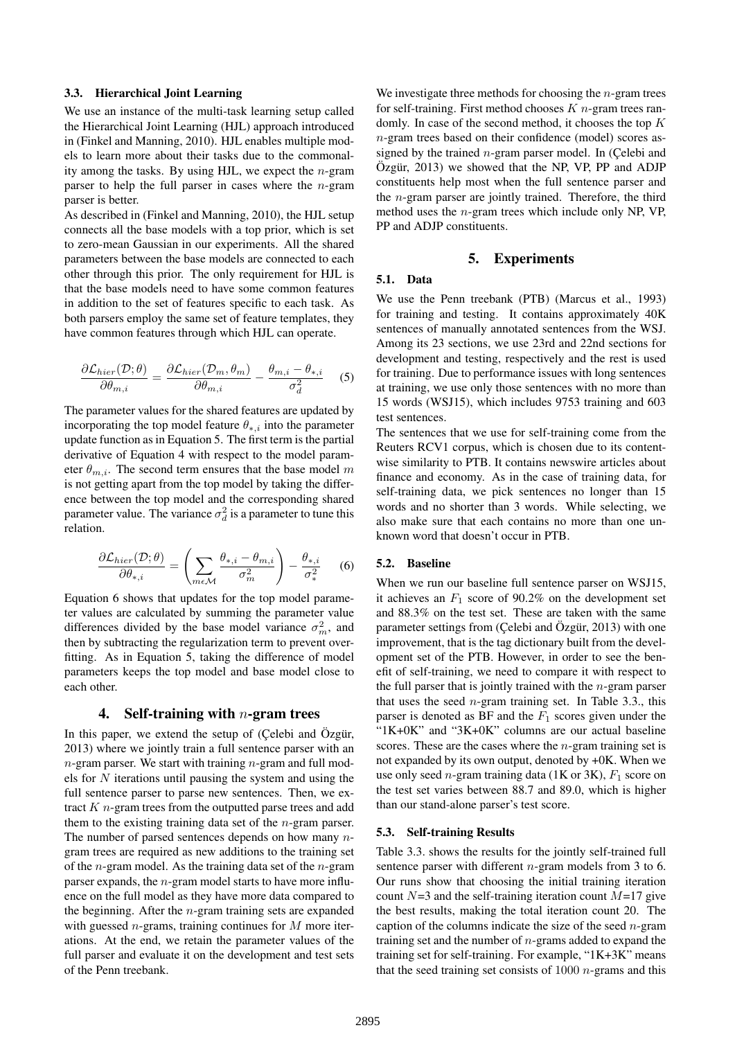#### 3.3. Hierarchical Joint Learning

We use an instance of the multi-task learning setup called the Hierarchical Joint Learning (HJL) approach introduced in (Finkel and Manning, 2010). HJL enables multiple models to learn more about their tasks due to the commonality among the tasks. By using HJL, we expect the  $n$ -gram parser to help the full parser in cases where the  $n$ -gram parser is better.

As described in (Finkel and Manning, 2010), the HJL setup connects all the base models with a top prior, which is set to zero-mean Gaussian in our experiments. All the shared parameters between the base models are connected to each other through this prior. The only requirement for HJL is that the base models need to have some common features in addition to the set of features specific to each task. As both parsers employ the same set of feature templates, they have common features through which HJL can operate.

$$
\frac{\partial \mathcal{L}_{hier}(\mathcal{D}; \theta)}{\partial \theta_{m,i}} = \frac{\partial \mathcal{L}_{hier}(\mathcal{D}_m, \theta_m)}{\partial \theta_{m,i}} - \frac{\theta_{m,i} - \theta_{*,i}}{\sigma_d^2} \tag{5}
$$

The parameter values for the shared features are updated by incorporating the top model feature  $\theta_{*,i}$  into the parameter update function as in Equation 5. The first term is the partial derivative of Equation 4 with respect to the model parameter  $\theta_{m,i}$ . The second term ensures that the base model m is not getting apart from the top model by taking the difference between the top model and the corresponding shared parameter value. The variance  $\sigma_d^2$  is a parameter to tune this relation.

$$
\frac{\partial \mathcal{L}_{hier}(\mathcal{D}; \theta)}{\partial \theta_{*,i}} = \left(\sum_{m \in \mathcal{M}} \frac{\theta_{*,i} - \theta_{m,i}}{\sigma_m^2}\right) - \frac{\theta_{*,i}}{\sigma_*^2} \tag{6}
$$

Equation 6 shows that updates for the top model parameter values are calculated by summing the parameter value differences divided by the base model variance  $\sigma_m^2$ , and then by subtracting the regularization term to prevent overfitting. As in Equation 5, taking the difference of model parameters keeps the top model and base model close to each other.

#### 4. Self-training with  $n$ -gram trees

In this paper, we extend the setup of (Çelebi and Özgür, 2013) where we jointly train a full sentence parser with an  $n$ -gram parser. We start with training  $n$ -gram and full models for  $N$  iterations until pausing the system and using the full sentence parser to parse new sentences. Then, we extract  $K$  *n*-gram trees from the outputted parse trees and add them to the existing training data set of the  $n$ -gram parser. The number of parsed sentences depends on how many  $n$ gram trees are required as new additions to the training set of the *n*-gram model. As the training data set of the *n*-gram parser expands, the n-gram model starts to have more influence on the full model as they have more data compared to the beginning. After the  $n$ -gram training sets are expanded with guessed *n*-grams, training continues for  $M$  more iterations. At the end, we retain the parameter values of the full parser and evaluate it on the development and test sets of the Penn treebank.

We investigate three methods for choosing the  $n$ -gram trees for self-training. First method chooses  $K$  *n*-gram trees randomly. In case of the second method, it chooses the top K n-gram trees based on their confidence (model) scores assigned by the trained  $n$ -gram parser model. In (Çelebi and  $Oz$ gür, 2013) we showed that the NP, VP, PP and ADJP constituents help most when the full sentence parser and the n-gram parser are jointly trained. Therefore, the third method uses the  $n$ -gram trees which include only NP, VP, PP and ADJP constituents.

#### 5. Experiments

### 5.1. Data

We use the Penn treebank (PTB) (Marcus et al., 1993) for training and testing. It contains approximately 40K sentences of manually annotated sentences from the WSJ. Among its 23 sections, we use 23rd and 22nd sections for development and testing, respectively and the rest is used for training. Due to performance issues with long sentences at training, we use only those sentences with no more than 15 words (WSJ15), which includes 9753 training and 603 test sentences.

The sentences that we use for self-training come from the Reuters RCV1 corpus, which is chosen due to its contentwise similarity to PTB. It contains newswire articles about finance and economy. As in the case of training data, for self-training data, we pick sentences no longer than 15 words and no shorter than 3 words. While selecting, we also make sure that each contains no more than one unknown word that doesn't occur in PTB.

#### 5.2. Baseline

When we run our baseline full sentence parser on WSJ15, it achieves an  $F_1$  score of 90.2% on the development set and 88.3% on the test set. These are taken with the same parameter settings from (Çelebi and Özgür, 2013) with one improvement, that is the tag dictionary built from the development set of the PTB. However, in order to see the benefit of self-training, we need to compare it with respect to the full parser that is jointly trained with the  $n$ -gram parser that uses the seed  $n$ -gram training set. In Table 3.3., this parser is denoted as BF and the  $F_1$  scores given under the "1K+0K" and "3K+0K" columns are our actual baseline scores. These are the cases where the  $n$ -gram training set is not expanded by its own output, denoted by +0K. When we use only seed *n*-gram training data (1K or 3K),  $F_1$  score on the test set varies between 88.7 and 89.0, which is higher than our stand-alone parser's test score.

#### 5.3. Self-training Results

Table 3.3. shows the results for the jointly self-trained full sentence parser with different *n*-gram models from 3 to 6. Our runs show that choosing the initial training iteration count  $N=3$  and the self-training iteration count  $M=17$  give the best results, making the total iteration count 20. The caption of the columns indicate the size of the seed  $n$ -gram training set and the number of  $n$ -grams added to expand the training set for self-training. For example, "1K+3K" means that the seed training set consists of  $1000 n$ -grams and this